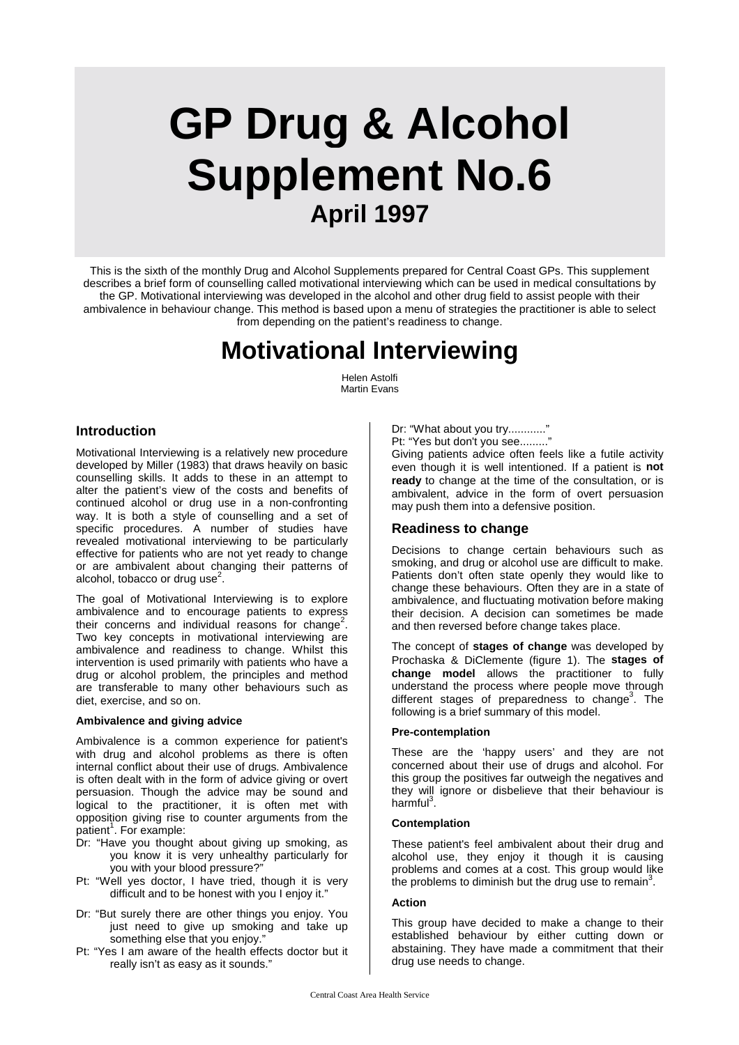# **GP Drug & Alcohol Supplement No.6 April 1997**

This is the sixth of the monthly Drug and Alcohol Supplements prepared for Central Coast GPs. This supplement describes a brief form of counselling called motivational interviewing which can be used in medical consultations by the GP. Motivational interviewing was developed in the alcohol and other drug field to assist people with their ambivalence in behaviour change. This method is based upon a menu of strategies the practitioner is able to select from depending on the patient's readiness to change.

## **Motivational Interviewing**

Helen Astolfi Martin Evans

## **Introduction**

Motivational Interviewing is a relatively new procedure developed by Miller (1983) that draws heavily on basic counselling skills. It adds to these in an attempt to alter the patient's view of the costs and benefits of continued alcohol or drug use in a non-confronting way. It is both a style of counselling and a set of specific procedures. A number of studies have revealed motivational interviewing to be particularly effective for patients who are not yet ready to change or are ambivalent about changing their patterns of alcohol, tobacco or drug use $^2$ .

The goal of Motivational Interviewing is to explore ambivalence and to encourage patients to express their concerns and individual reasons for change<sup>2</sup>. Two key concepts in motivational interviewing are ambivalence and readiness to change. Whilst this intervention is used primarily with patients who have a drug or alcohol problem, the principles and method are transferable to many other behaviours such as diet, exercise, and so on.

## **Ambivalence and giving advice**

Ambivalence is a common experience for patient's with drug and alcohol problems as there is often internal conflict about their use of drugs. Ambivalence is often dealt with in the form of advice giving or overt persuasion. Though the advice may be sound and logical to the practitioner, it is often met with opposition giving rise to counter arguments from the patient<sup>1</sup>. For example:

- Dr: "Have you thought about giving up smoking, as you know it is very unhealthy particularly for you with your blood pressure?"
- Pt: "Well yes doctor, I have tried, though it is very difficult and to be honest with you I enjoy it."
- Dr: "But surely there are other things you enjoy. You just need to give up smoking and take up something else that you enjoy."
- Pt: "Yes I am aware of the health effects doctor but it really isn't as easy as it sounds."

Dr: "What about you try............"

Pt: "Yes but don't you see........."

Giving patients advice often feels like a futile activity even though it is well intentioned. If a patient is **not ready** to change at the time of the consultation, or is ambivalent, advice in the form of overt persuasion may push them into a defensive position.

## **Readiness to change**

Decisions to change certain behaviours such as smoking, and drug or alcohol use are difficult to make. Patients don't often state openly they would like to change these behaviours. Often they are in a state of ambivalence, and fluctuating motivation before making their decision. A decision can sometimes be made and then reversed before change takes place.

The concept of **stages of change** was developed by Prochaska & DiClemente (figure 1). The **stages of change model** allows the practitioner to fully understand the process where people move through different stages of preparedness to change<sup>3</sup>. The following is a brief summary of this model.

## **Pre-contemplation**

These are the 'happy users' and they are not concerned about their use of drugs and alcohol. For this group the positives far outweigh the negatives and they will ignore or disbelieve that their behaviour is harmful<sup>3</sup>.

## **Contemplation**

These patient's feel ambivalent about their drug and alcohol use, they enjoy it though it is causing problems and comes at a cost. This group would like the problems to diminish but the drug use to remain<sup>3</sup>.

## **Action**

This group have decided to make a change to their established behaviour by either cutting down or abstaining. They have made a commitment that their drug use needs to change.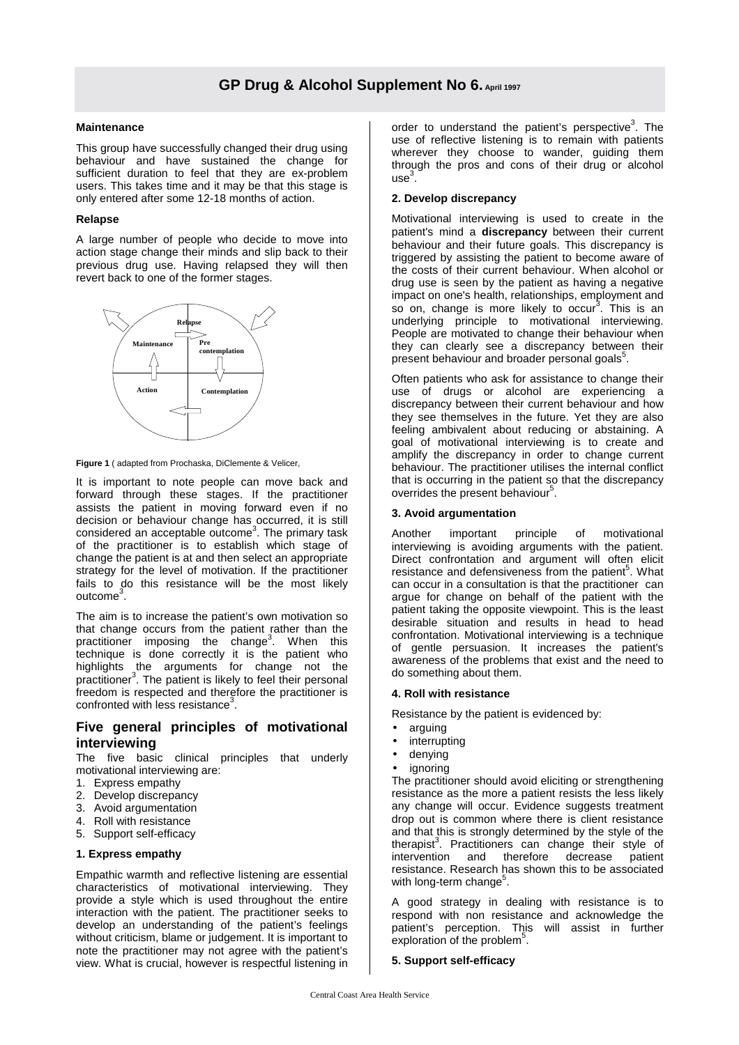## **Maintenance**

This group have successfully changed their drug using behaviour and have sustained the change for sufficient duration to feel that they are ex-problem users. This takes time and it may be that this stage is only entered after some 12-18 months of action.

## **Relapse**

A large number of people who decide to move into action stage change their minds and slip back to their previous drug use. Having relapsed they will then revert back to one of the former stages.



**Figure 1** ( adapted from Prochaska, DiClemente & Velicer,

It is important to note people can move back and forward through these stages. If the practitioner assists the patient in moving forward even if no decision or behaviour change has occurred, it is still considered an acceptable outcome<sup>3</sup>. The primary task of the practitioner is to establish which stage of change the patient is at and then select an appropriate strategy for the level of motivation. If the practitioner fails to do this resistance will be the most likely outcome<sup>3</sup>.

The aim is to increase the patient's own motivation so that change occurs from the patient rather than the practitioner imposing the change<sup>3</sup>. When this technique is done correctly it is the patient who highlights the arguments for change not the practitioner<sup>3</sup>. The patient is likely to feel their personal freedom is respected and therefore the practitioner is confronted with less resistance<sup>3</sup>.

## **Five general principles of motivational interviewing**

The five basic clinical principles that underly motivational interviewing are:

- 1. Express empathy
- 2. Develop discrepancy
- 3. Avoid argumentation
- 4. Roll with resistance
- 5. Support self-efficacy

## **1. Express empathy**

Empathic warmth and reflective listening are essential characteristics of motivational interviewing. They provide a style which is used throughout the entire interaction with the patient. The practitioner seeks to develop an understanding of the patient's feelings without criticism, blame or judgement. It is important to note the practitioner may not agree with the patient's view. What is crucial, however is respectful listening in

order to understand the patient's perspective<sup>3</sup>. The use of reflective listening is to remain with patients wherever they choose to wander, guiding them through the pros and cons of their drug or alcohol  $use<sup>3</sup>$ .

## **2. Develop discrepancy**

Motivational interviewing is used to create in the patient's mind a **discrepancy** between their current behaviour and their future goals. This discrepancy is triggered by assisting the patient to become aware of the costs of their current behaviour. When alcohol or drug use is seen by the patient as having a negative impact on one's health, relationships, employment and so on, change is more likely to occur<sup>3</sup>. This is an underlying principle to motivational interviewing. People are motivated to change their behaviour when they can clearly see a discrepancy between their present behaviour and broader personal goals<sup>5</sup>.

Often patients who ask for assistance to change their use of drugs or alcohol are experiencing a discrepancy between their current behaviour and how they see themselves in the future. Yet they are also feeling ambivalent about reducing or abstaining. A goal of motivational interviewing is to create and amplify the discrepancy in order to change current behaviour. The practitioner utilises the internal conflict that is occurring in the patient so that the discrepancy overrides the present behaviour<sup>5</sup>.

## **3. Avoid argumentation**

Another important principle of motivational interviewing is avoiding arguments with the patient. Direct confrontation and argument will often elicit resistance and defensiveness from the patient<sup>5</sup>. What can occur in a consultation is that the practitioner can argue for change on behalf of the patient with the patient taking the opposite viewpoint. This is the least desirable situation and results in head to head confrontation. Motivational interviewing is a technique of gentle persuasion. It increases the patient's awareness of the problems that exist and the need to do something about them.

## **4. Roll with resistance**

Resistance by the patient is evidenced by:

- arguing
- **interrupting**
- denying
- *ignoring*

The practitioner should avoid eliciting or strengthening resistance as the more a patient resists the less likely any change will occur. Evidence suggests treatment drop out is common where there is client resistance and that this is strongly determined by the style of the therapist<sup>3</sup>. Practitioners can change their style of intervention and therefore decrease patient resistance. Research has shown this to be associated with long-term change<sup>5</sup>.

A good strategy in dealing with resistance is to respond with non resistance and acknowledge the patient's perception. This will assist in further exploration of the problem<sup>5</sup>.

## **5. Support self-efficacy**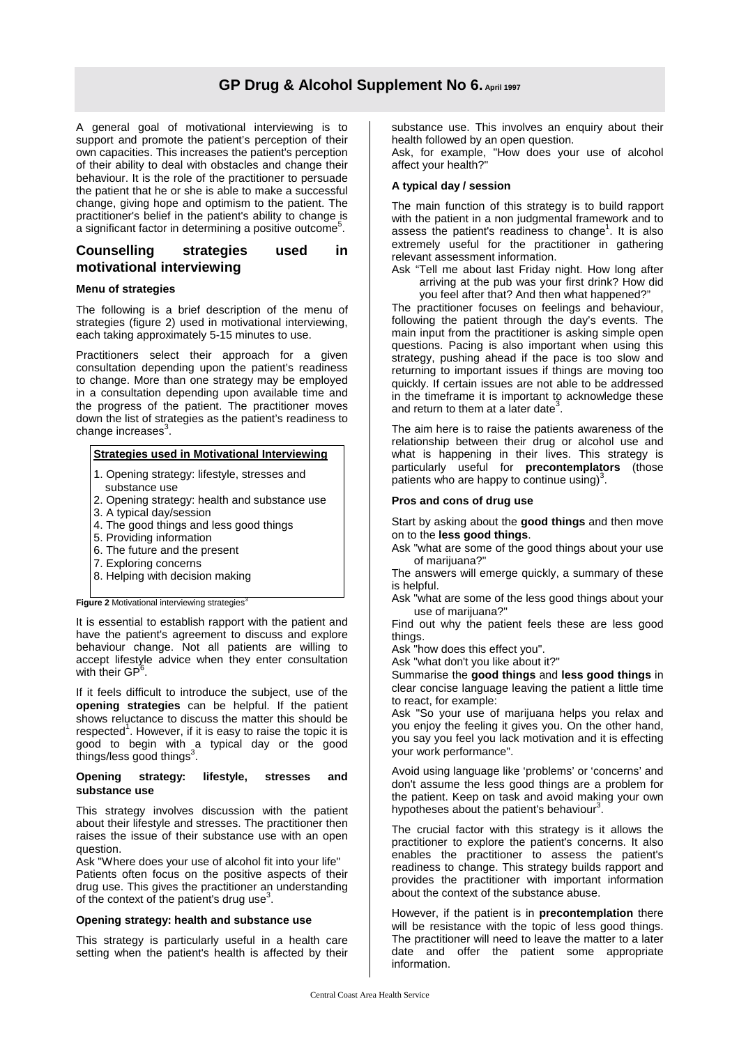## **GP Drug & Alcohol Supplement No 6. April 1997**

A general goal of motivational interviewing is to support and promote the patient's perception of their own capacities. This increases the patient's perception of their ability to deal with obstacles and change their behaviour. It is the role of the practitioner to persuade the patient that he or she is able to make a successful change, giving hope and optimism to the patient. The practitioner's belief in the patient's ability to change is a significant factor in determining a positive outcome<sup>5</sup>.

## **Counselling strategies used in motivational interviewing**

## **Menu of strategies**

The following is a brief description of the menu of strategies (figure 2) used in motivational interviewing, each taking approximately 5-15 minutes to use.

Practitioners select their approach for a given consultation depending upon the patient's readiness to change. More than one strategy may be employed in a consultation depending upon available time and the progress of the patient. The practitioner moves down the list of strategies as the patient's readiness to change increases $^3$ .

## **Strategies used in Motivational Interviewing**

- 1. Opening strategy: lifestyle, stresses and
- substance use
- 2. Opening strategy: health and substance use
- 3. A typical day/session
- 4. The good things and less good things
- 5. Providing information
- 6. The future and the present
- 7. Exploring concerns
- 8. Helping with decision making

**Figure 2 Motivational interviewing strategies<sup>3</sup>** 

It is essential to establish rapport with the patient and have the patient's agreement to discuss and explore behaviour change. Not all patients are willing to accept lifestyle advice when they enter consultation with their GP<sup>6</sup>.

If it feels difficult to introduce the subject, use of the **opening strategies** can be helpful. If the patient shows reluctance to discuss the matter this should be respected<sup>1</sup>. However, if it is easy to raise the topic it is good to begin with a typical day or the good<br>things/less.good.things<sup>3</sup>.

### **Opening strategy: lifestyle, stresses and substance use**

This strategy involves discussion with the patient about their lifestyle and stresses. The practitioner then raises the issue of their substance use with an open question.

Ask "Where does your use of alcohol fit into your life" Patients often focus on the positive aspects of their drug use. This gives the practitioner an understanding of the context of the patient's drug use<sup>3</sup>.

## **Opening strategy: health and substance use**

This strategy is particularly useful in a health care setting when the patient's health is affected by their substance use. This involves an enquiry about their health followed by an open question.

Ask, for example, "How does your use of alcohol affect your health?"

## **A typical day / session**

The main function of this strategy is to build rapport with the patient in a non judgmental framework and to assess the patient's readiness to change<sup>1</sup>. It is also extremely useful for the practitioner in gathering relevant assessment information.

Ask "Tell me about last Friday night. How long after arriving at the pub was your first drink? How did you feel after that? And then what happened?"

The practitioner focuses on feelings and behaviour, following the patient through the day's events. The main input from the practitioner is asking simple open questions. Pacing is also important when using this strategy, pushing ahead if the pace is too slow and returning to important issues if things are moving too quickly. If certain issues are not able to be addressed in the timeframe it is important to acknowledge these and return to them at a later date<sup>3</sup>.

The aim here is to raise the patients awareness of the relationship between their drug or alcohol use and what is happening in their lives. This strategy is particularly useful for **precontemplators** (those patients who are happy to continue using)<sup>3</sup>.

### **Pros and cons of drug use**

Start by asking about the **good things** and then move on to the **less good things**.

Ask "what are some of the good things about your use of marijuana?"

The answers will emerge quickly, a summary of these is helpful.

Ask "what are some of the less good things about your use of marijuana?"

Find out why the patient feels these are less good things.

Ask "how does this effect you".

Ask "what don't you like about it?"

Summarise the **good things** and **less good things** in clear concise language leaving the patient a little time to react, for example:

Ask "So your use of marijuana helps you relax and you enjoy the feeling it gives you. On the other hand, you say you feel you lack motivation and it is effecting your work performance".

Avoid using language like 'problems' or 'concerns' and don't assume the less good things are a problem for the patient. Keep on task and avoid making your own hypotheses about the patient's behaviour<sup>3</sup>.

The crucial factor with this strategy is it allows the practitioner to explore the patient's concerns. It also enables the practitioner to assess the patient's readiness to change. This strategy builds rapport and provides the practitioner with important information about the context of the substance abuse.

However, if the patient is in **precontemplation** there will be resistance with the topic of less good things. The practitioner will need to leave the matter to a later date and offer the patient some appropriate information.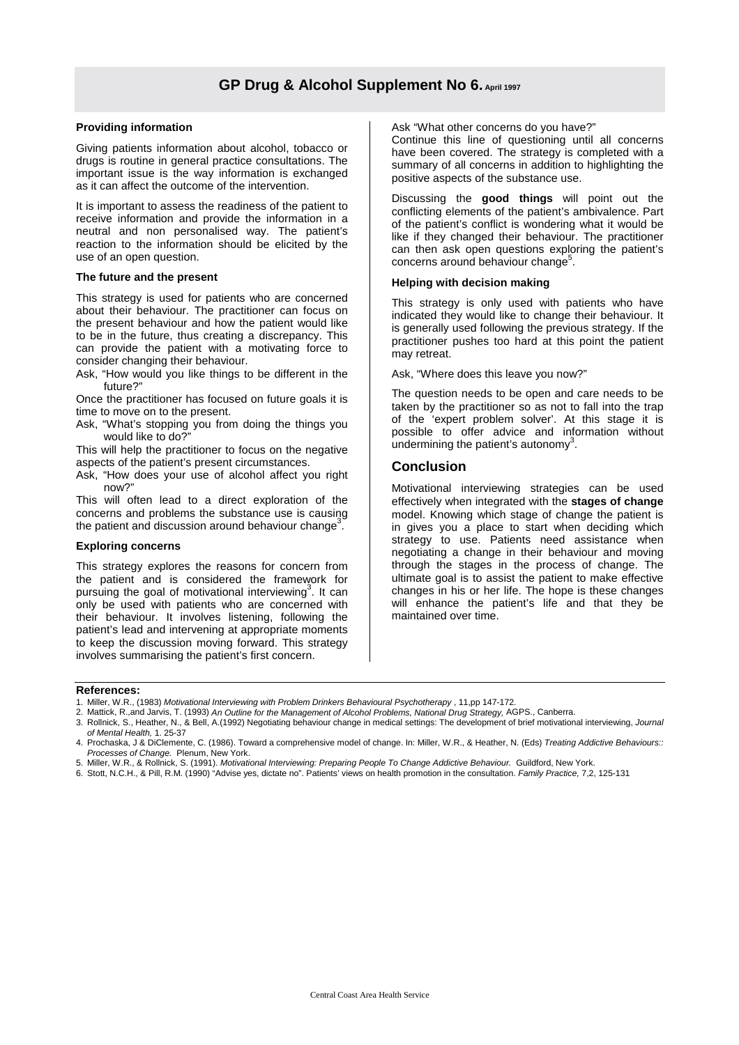## **Providing information**

Giving patients information about alcohol, tobacco or drugs is routine in general practice consultations. The important issue is the way information is exchanged as it can affect the outcome of the intervention.

It is important to assess the readiness of the patient to receive information and provide the information in a neutral and non personalised way. The patient's reaction to the information should be elicited by the use of an open question.

### **The future and the present**

This strategy is used for patients who are concerned about their behaviour. The practitioner can focus on the present behaviour and how the patient would like to be in the future, thus creating a discrepancy. This can provide the patient with a motivating force to consider changing their behaviour.

Ask, "How would you like things to be different in the future?"

Once the practitioner has focused on future goals it is time to move on to the present.

Ask, "What's stopping you from doing the things you would like to do?

This will help the practitioner to focus on the negative aspects of the patient's present circumstances.

Ask, "How does your use of alcohol affect you right now?"

This will often lead to a direct exploration of the concerns and problems the substance use is causing the patient and discussion around behaviour change<sup>3</sup> .

#### **Exploring concerns**

This strategy explores the reasons for concern from the patient and is considered the framework for pursuing the goal of motivational interviewing<sup>3</sup>. It can only be used with patients who are concerned with their behaviour. It involves listening, following the patient's lead and intervening at appropriate moments to keep the discussion moving forward. This strategy involves summarising the patient's first concern.

Ask "What other concerns do you have?"

Continue this line of questioning until all concerns have been covered. The strategy is completed with a summary of all concerns in addition to highlighting the positive aspects of the substance use.

Discussing the **good things** will point out the conflicting elements of the patient's ambivalence. Part of the patient's conflict is wondering what it would be like if they changed their behaviour. The practitioner can then ask open questions exploring the patient's concerns around behaviour change<sup>5</sup>.

## **Helping with decision making**

This strategy is only used with patients who have indicated they would like to change their behaviour. It is generally used following the previous strategy. If the practitioner pushes too hard at this point the patient may retreat.

Ask, "Where does this leave you now?"

The question needs to be open and care needs to be taken by the practitioner so as not to fall into the trap of the 'expert problem solver'. At this stage it is possible to offer advice and information without undermining the patient's autonomy<sup>3</sup>.

## **Conclusion**

Motivational interviewing strategies can be used effectively when integrated with the **stages of change** model. Knowing which stage of change the patient is in gives you a place to start when deciding which strategy to use. Patients need assistance when negotiating a change in their behaviour and moving through the stages in the process of change. The ultimate goal is to assist the patient to make effective changes in his or her life. The hope is these changes will enhance the patient's life and that they be maintained over time.

#### **References:**

- 1. Miller, W.R., (1983) Motivational Interviewing with Problem Drinkers Behavioural Psychotherapy , 11,pp 147-172.
- 2. Mattick, R.,and Jarvis, T. (1993) An Outline for the Management of Alcohol Problems, National Drug Strategy, AGPS., Canberra.
- 3. Rollnick, S., Heather, N., & Bell, A.(1992) Negotiating behaviour change in medical settings: The development of brief motivational interviewing, Journal of Mental Health, 1. 25-37

4. Prochaska, J & DiClemente, C. (1986). Toward a comprehensive model of change. In: Miller, W.R., & Heather, N. (Eds) Treating Addictive Behaviours:: Processes of Change. Plenum, New York.

5. Miller, W.R., & Rollnick, S. (1991). Motivational Interviewing: Preparing People To Change Addictive Behaviour. Guildford, New York.

6. Stott, N.C.H., & Pill, R.M. (1990) "Advise yes, dictate no". Patients' views on health promotion in the consultation. Family Practice, 7,2, 125-131